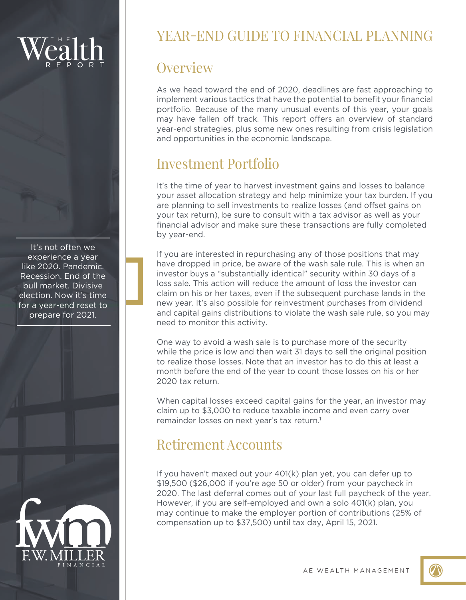It's not often we experience a year like 2020. Pandemic. Recession. End of the bull market. Divisive election. Now it's time for a year-end reset to prepare for 2021.



# YEAR-END GUIDE TO FINANCIAL PLANNING

## **Overview**

As we head toward the end of 2020, deadlines are fast approaching to implement various tactics that have the potential to benefit your financial portfolio. Because of the many unusual events of this year, your goals may have fallen off track. This report offers an overview of standard year-end strategies, plus some new ones resulting from crisis legislation and opportunities in the economic landscape.

# Investment Portfolio

It's the time of year to harvest investment gains and losses to balance your asset allocation strategy and help minimize your tax burden. If you are planning to sell investments to realize losses (and offset gains on your tax return), be sure to consult with a tax advisor as well as your financial advisor and make sure these transactions are fully completed by year-end.

If you are interested in repurchasing any of those positions that may have dropped in price, be aware of the wash sale rule. This is when an investor buys a "substantially identical" security within 30 days of a loss sale. This action will reduce the amount of loss the investor can claim on his or her taxes, even if the subsequent purchase lands in the new year. It's also possible for reinvestment purchases from dividend and capital gains distributions to violate the wash sale rule, so you may need to monitor this activity.

One way to avoid a wash sale is to purchase more of the security while the price is low and then wait 31 days to sell the original position to realize those losses. Note that an investor has to do this at least a month before the end of the year to count those losses on his or her 2020 tax return.

When capital losses exceed capital gains for the year, an investor may claim up to \$3,000 to reduce taxable income and even carry over remainder losses on next year's tax return.<sup>1</sup>

# Retirement Accounts

If you haven't maxed out your 401(k) plan yet, you can defer up to \$19,500 (\$26,000 if you're age 50 or older) from your paycheck in 2020. The last deferral comes out of your last full paycheck of the year. However, if you are self-employed and own a solo 401(k) plan, you may continue to make the employer portion of contributions (25% of compensation up to \$37,500) until tax day, April 15, 2021.

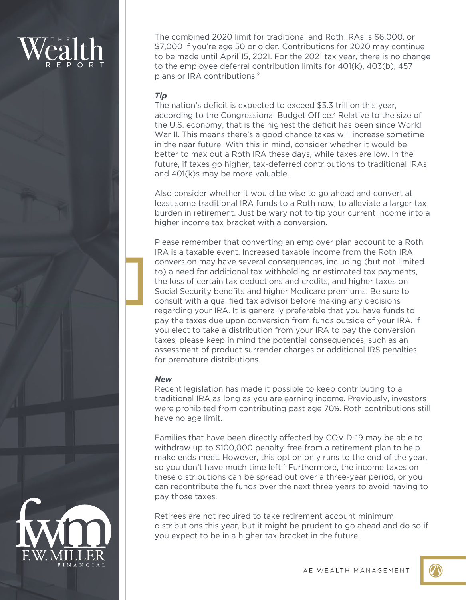The combined 2020 limit for traditional and Roth IRAs is \$6,000, or \$7,000 if you're age 50 or older. Contributions for 2020 may continue to be made until April 15, 2021. For the 2021 tax year, there is no change to the employee deferral contribution limits for 401(k), 403(b), 457 plans or IRA contributions.2

## *Tip*

The nation's deficit is expected to exceed \$3.3 trillion this year, according to the Congressional Budget Office.<sup>3</sup> Relative to the size of the U.S. economy, that is the highest the deficit has been since World War II. This means there's a good chance taxes will increase sometime in the near future. With this in mind, consider whether it would be better to max out a Roth IRA these days, while taxes are low. In the future, if taxes go higher, tax-deferred contributions to traditional IRAs and 401(k)s may be more valuable.

Also consider whether it would be wise to go ahead and convert at least some traditional IRA funds to a Roth now, to alleviate a larger tax burden in retirement. Just be wary not to tip your current income into a higher income tax bracket with a conversion.

Please remember that converting an employer plan account to a Roth IRA is a taxable event. Increased taxable income from the Roth IRA conversion may have several consequences, including (but not limited to) a need for additional tax withholding or estimated tax payments, the loss of certain tax deductions and credits, and higher taxes on Social Security benefits and higher Medicare premiums. Be sure to consult with a qualified tax advisor before making any decisions regarding your IRA. It is generally preferable that you have funds to pay the taxes due upon conversion from funds outside of your IRA. If you elect to take a distribution from your IRA to pay the conversion taxes, please keep in mind the potential consequences, such as an assessment of product surrender charges or additional IRS penalties for premature distributions.

## *New*

Recent legislation has made it possible to keep contributing to a traditional IRA as long as you are earning income. Previously, investors were prohibited from contributing past age 70**½**. Roth contributions still have no age limit.

Families that have been directly affected by COVID-19 may be able to withdraw up to \$100,000 penalty-free from a retirement plan to help make ends meet. However, this option only runs to the end of the year, so you don't have much time left.<sup>4</sup> Furthermore, the income taxes on these distributions can be spread out over a three-year period, or you can recontribute the funds over the next three years to avoid having to pay those taxes.

Retirees are not required to take retirement account minimum distributions this year, but it might be prudent to go ahead and do so if you expect to be in a higher tax bracket in the future.



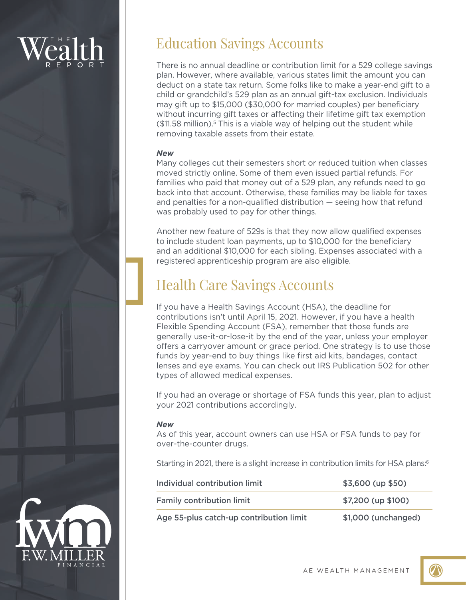## Education Savings Accounts

There is no annual deadline or contribution limit for a 529 college savings plan. However, where available, various states limit the amount you can deduct on a state tax return. Some folks like to make a year-end gift to a child or grandchild's 529 plan as an annual gift-tax exclusion. Individuals may gift up to \$15,000 (\$30,000 for married couples) per beneficiary without incurring gift taxes or affecting their lifetime gift tax exemption  $($11.58 \text{ million})$ .<sup>5</sup> This is a viable way of helping out the student while removing taxable assets from their estate.

## *New*

Many colleges cut their semesters short or reduced tuition when classes moved strictly online. Some of them even issued partial refunds. For families who paid that money out of a 529 plan, any refunds need to go back into that account. Otherwise, these families may be liable for taxes and penalties for a non-qualified distribution — seeing how that refund was probably used to pay for other things.

Another new feature of 529s is that they now allow qualified expenses to include student loan payments, up to \$10,000 for the beneficiary and an additional \$10,000 for each sibling. Expenses associated with a registered apprenticeship program are also eligible.

# Health Care Savings Accounts

If you have a Health Savings Account (HSA), the deadline for contributions isn't until April 15, 2021. However, if you have a health Flexible Spending Account (FSA), remember that those funds are generally use-it-or-lose-it by the end of the year, unless your employer offers a carryover amount or grace period. One strategy is to use those funds by year-end to buy things like first aid kits, bandages, contact lenses and eye exams. You can check out IRS Publication 502 for other types of allowed medical expenses.

If you had an overage or shortage of FSA funds this year, plan to adjust your 2021 contributions accordingly.

## *New*

As of this year, account owners can use HSA or FSA funds to pay for over-the-counter drugs.

Starting in 2021, there is a slight increase in contribution limits for HSA plans:<sup>6</sup>

| Individual contribution limit           | $$3,600$ (up $$50)$ ) |
|-----------------------------------------|-----------------------|
| <b>Family contribution limit</b>        | $$7,200$ (up $$100$ ) |
| Age 55-plus catch-up contribution limit | \$1,000 (unchanged)   |

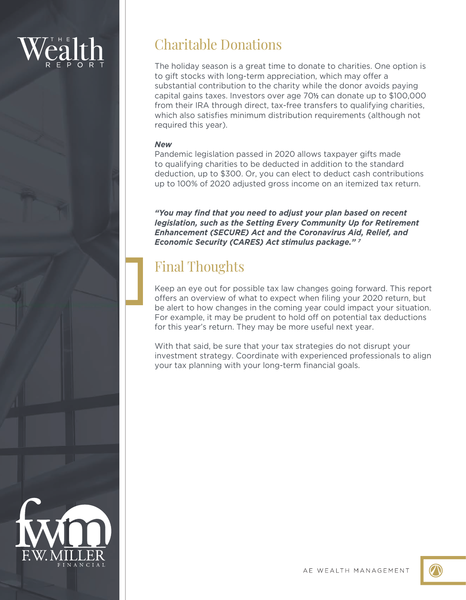# Charitable Donations

The holiday season is a great time to donate to charities. One option is to gift stocks with long-term appreciation, which may offer a substantial contribution to the charity while the donor avoids paying capital gains taxes. Investors over age 70**½** can donate up to \$100,000 from their IRA through direct, tax-free transfers to qualifying charities, which also satisfies minimum distribution requirements (although not required this year).

## *New*

Pandemic legislation passed in 2020 allows taxpayer gifts made to qualifying charities to be deducted in addition to the standard deduction, up to \$300. Or, you can elect to deduct cash contributions up to 100% of 2020 adjusted gross income on an itemized tax return.

*"You may find that you need to adjust your plan based on recent legislation, such as the Setting Every Community Up for Retirement Enhancement (SECURE) Act and the Coronavirus Aid, Relief, and Economic Security (CARES) Act stimulus package." 7*

# Final Thoughts

Keep an eye out for possible tax law changes going forward. This report offers an overview of what to expect when filing your 2020 return, but be alert to how changes in the coming year could impact your situation. For example, it may be prudent to hold off on potential tax deductions for this year's return. They may be more useful next year.

With that said, be sure that your tax strategies do not disrupt your investment strategy. Coordinate with experienced professionals to align your tax planning with your long-term financial goals.